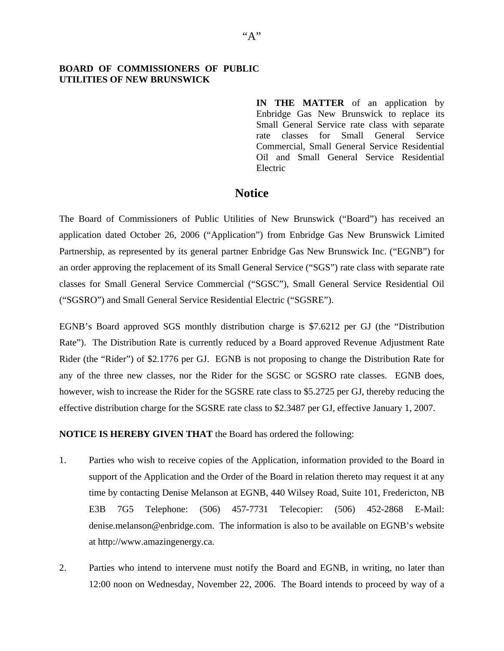## **BOARD OF COMMISSIONERS OF PUBLIC UTILITIES OF NEW BRUNSWICK**

**IN THE MATTER** of an application by Enbridge Gas New Brunswick to replace its Small General Service rate class with separate rate classes for Small General Service Commercial, Small General Service Residential Oil and Small General Service Residential Electric

## **Notice**

The Board of Commissioners of Public Utilities of New Brunswick ("Board") has received an application dated October 26, 2006 ("Application") from Enbridge Gas New Brunswick Limited Partnership, as represented by its general partner Enbridge Gas New Brunswick Inc. ("EGNB") for an order approving the replacement of its Small General Service ("SGS") rate class with separate rate classes for Small General Service Commercial ("SGSC"), Small General Service Residential Oil ("SGSRO") and Small General Service Residential Electric ("SGSRE").

EGNB's Board approved SGS monthly distribution charge is \$7.6212 per GJ (the "Distribution Rate"). The Distribution Rate is currently reduced by a Board approved Revenue Adjustment Rate Rider (the "Rider") of \$2.1776 per GJ. EGNB is not proposing to change the Distribution Rate for any of the three new classes, nor the Rider for the SGSC or SGSRO rate classes. EGNB does, however, wish to increase the Rider for the SGSRE rate class to \$5.2725 per GJ, thereby reducing the effective distribution charge for the SGSRE rate class to \$2.3487 per GJ, effective January 1, 2007.

**NOTICE IS HEREBY GIVEN THAT** the Board has ordered the following:

- 1. Parties who wish to receive copies of the Application, information provided to the Board in support of the Application and the Order of the Board in relation thereto may request it at any time by contacting Denise Melanson at EGNB, 440 Wilsey Road, Suite 101, Fredericton, NB E3B 7G5 Telephone: (506) 457-7731 Telecopier: (506) 452-2868 E-Mail: denise.melanson@enbridge.com. The information is also to be available on EGNB's website at http://www.amazingenergy.ca.
- 2. Parties who intend to intervene must notify the Board and EGNB, in writing, no later than 12:00 noon on Wednesday, November 22, 2006. The Board intends to proceed by way of a